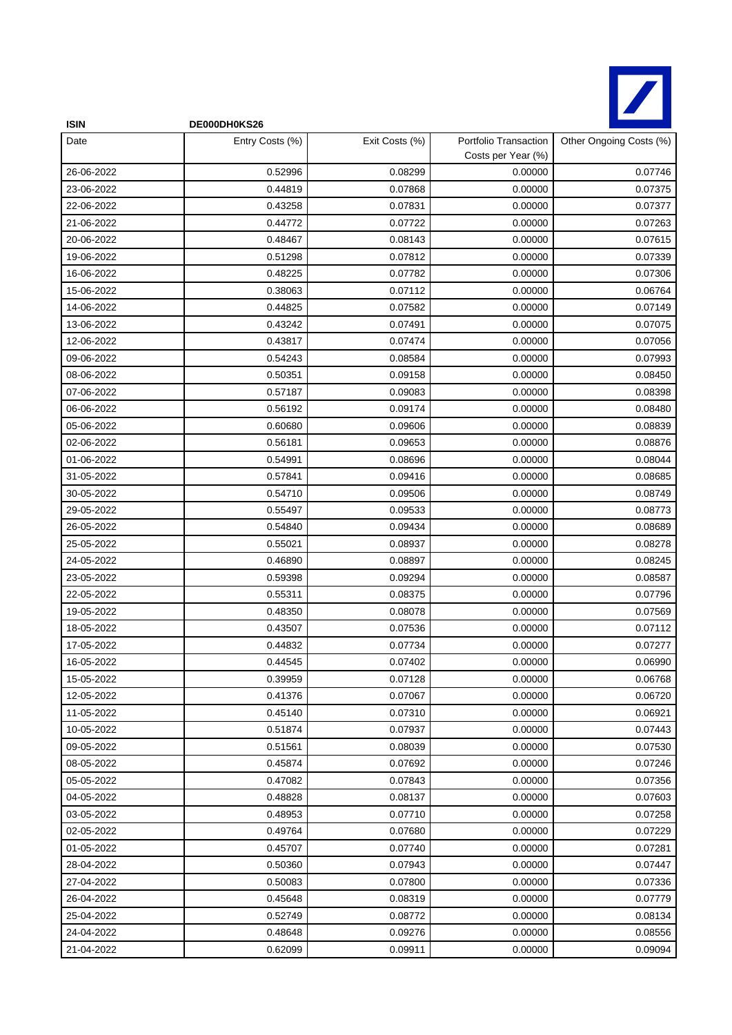

| <b>ISIN</b> | DE000DH0KS26    |                |                                             |                         |
|-------------|-----------------|----------------|---------------------------------------------|-------------------------|
| Date        | Entry Costs (%) | Exit Costs (%) | Portfolio Transaction<br>Costs per Year (%) | Other Ongoing Costs (%) |
| 26-06-2022  | 0.52996         | 0.08299        | 0.00000                                     | 0.07746                 |
| 23-06-2022  | 0.44819         | 0.07868        | 0.00000                                     | 0.07375                 |
| 22-06-2022  | 0.43258         | 0.07831        | 0.00000                                     | 0.07377                 |
| 21-06-2022  | 0.44772         | 0.07722        | 0.00000                                     | 0.07263                 |
| 20-06-2022  | 0.48467         | 0.08143        | 0.00000                                     | 0.07615                 |
| 19-06-2022  | 0.51298         | 0.07812        | 0.00000                                     | 0.07339                 |
| 16-06-2022  | 0.48225         | 0.07782        | 0.00000                                     | 0.07306                 |
| 15-06-2022  | 0.38063         | 0.07112        | 0.00000                                     | 0.06764                 |
| 14-06-2022  | 0.44825         | 0.07582        | 0.00000                                     | 0.07149                 |
| 13-06-2022  | 0.43242         | 0.07491        | 0.00000                                     | 0.07075                 |
| 12-06-2022  | 0.43817         | 0.07474        | 0.00000                                     | 0.07056                 |
| 09-06-2022  | 0.54243         | 0.08584        | 0.00000                                     | 0.07993                 |
| 08-06-2022  | 0.50351         | 0.09158        | 0.00000                                     | 0.08450                 |
| 07-06-2022  | 0.57187         | 0.09083        | 0.00000                                     | 0.08398                 |
| 06-06-2022  | 0.56192         | 0.09174        | 0.00000                                     | 0.08480                 |
| 05-06-2022  | 0.60680         | 0.09606        | 0.00000                                     | 0.08839                 |
| 02-06-2022  | 0.56181         | 0.09653        | 0.00000                                     | 0.08876                 |
| 01-06-2022  | 0.54991         | 0.08696        | 0.00000                                     | 0.08044                 |
| 31-05-2022  | 0.57841         | 0.09416        | 0.00000                                     | 0.08685                 |
| 30-05-2022  | 0.54710         | 0.09506        | 0.00000                                     | 0.08749                 |
| 29-05-2022  | 0.55497         | 0.09533        | 0.00000                                     | 0.08773                 |
| 26-05-2022  | 0.54840         | 0.09434        | 0.00000                                     | 0.08689                 |
| 25-05-2022  | 0.55021         | 0.08937        | 0.00000                                     | 0.08278                 |
| 24-05-2022  | 0.46890         | 0.08897        | 0.00000                                     | 0.08245                 |
| 23-05-2022  | 0.59398         | 0.09294        | 0.00000                                     | 0.08587                 |
| 22-05-2022  | 0.55311         | 0.08375        | 0.00000                                     | 0.07796                 |
| 19-05-2022  | 0.48350         | 0.08078        | 0.00000                                     | 0.07569                 |
| 18-05-2022  | 0.43507         | 0.07536        | 0.00000                                     | 0.07112                 |
| 17-05-2022  | 0.44832         | 0.07734        | 0.00000                                     | 0.07277                 |
| 16-05-2022  | 0.44545         | 0.07402        | 0.00000                                     | 0.06990                 |
| 15-05-2022  | 0.39959         | 0.07128        | 0.00000                                     | 0.06768                 |
| 12-05-2022  | 0.41376         | 0.07067        | 0.00000                                     | 0.06720                 |
| 11-05-2022  | 0.45140         | 0.07310        | 0.00000                                     | 0.06921                 |
| 10-05-2022  | 0.51874         | 0.07937        | 0.00000                                     | 0.07443                 |
| 09-05-2022  | 0.51561         | 0.08039        | 0.00000                                     | 0.07530                 |
| 08-05-2022  | 0.45874         | 0.07692        | 0.00000                                     | 0.07246                 |
| 05-05-2022  | 0.47082         | 0.07843        | 0.00000                                     | 0.07356                 |
| 04-05-2022  | 0.48828         | 0.08137        | 0.00000                                     | 0.07603                 |
| 03-05-2022  | 0.48953         | 0.07710        | 0.00000                                     | 0.07258                 |
| 02-05-2022  | 0.49764         | 0.07680        | 0.00000                                     | 0.07229                 |
| 01-05-2022  | 0.45707         | 0.07740        | 0.00000                                     | 0.07281                 |
| 28-04-2022  | 0.50360         | 0.07943        | 0.00000                                     | 0.07447                 |
| 27-04-2022  | 0.50083         | 0.07800        | 0.00000                                     | 0.07336                 |
| 26-04-2022  | 0.45648         | 0.08319        | 0.00000                                     | 0.07779                 |
| 25-04-2022  | 0.52749         | 0.08772        | 0.00000                                     | 0.08134                 |
| 24-04-2022  | 0.48648         | 0.09276        | 0.00000                                     | 0.08556                 |
| 21-04-2022  | 0.62099         | 0.09911        | 0.00000                                     | 0.09094                 |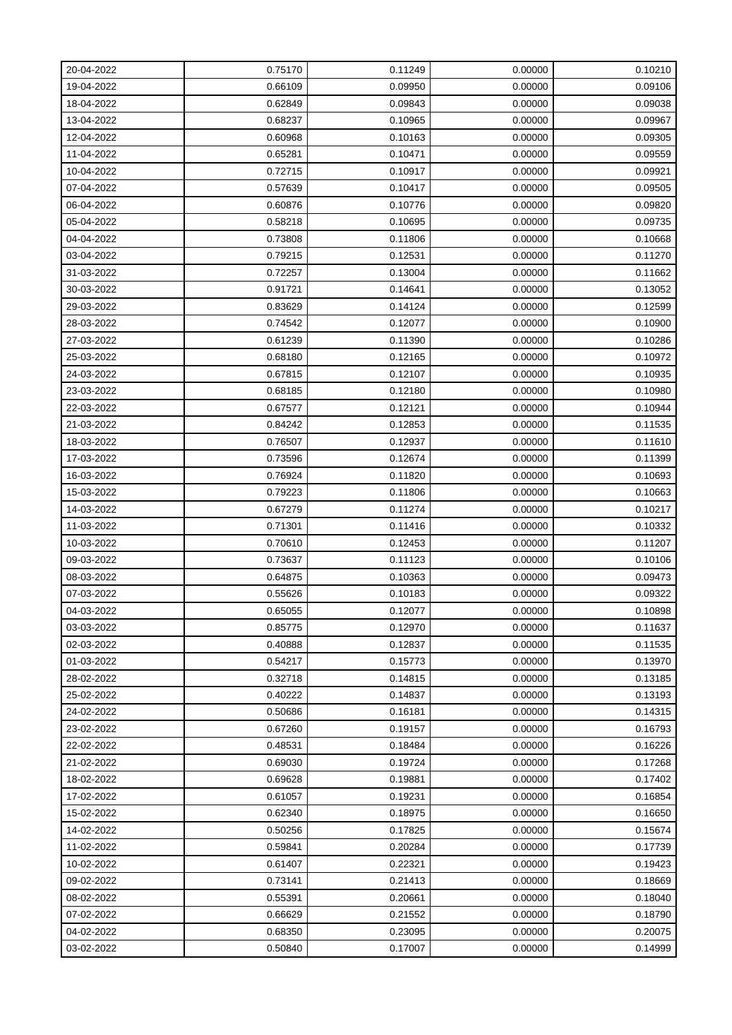| 20-04-2022 | 0.75170 | 0.11249 | 0.00000 | 0.10210 |
|------------|---------|---------|---------|---------|
| 19-04-2022 | 0.66109 | 0.09950 | 0.00000 | 0.09106 |
| 18-04-2022 | 0.62849 | 0.09843 | 0.00000 | 0.09038 |
| 13-04-2022 | 0.68237 | 0.10965 | 0.00000 | 0.09967 |
| 12-04-2022 | 0.60968 | 0.10163 | 0.00000 | 0.09305 |
| 11-04-2022 | 0.65281 | 0.10471 | 0.00000 | 0.09559 |
| 10-04-2022 | 0.72715 | 0.10917 | 0.00000 | 0.09921 |
| 07-04-2022 | 0.57639 | 0.10417 | 0.00000 | 0.09505 |
| 06-04-2022 | 0.60876 | 0.10776 | 0.00000 | 0.09820 |
| 05-04-2022 | 0.58218 | 0.10695 | 0.00000 | 0.09735 |
| 04-04-2022 | 0.73808 | 0.11806 | 0.00000 | 0.10668 |
| 03-04-2022 | 0.79215 | 0.12531 | 0.00000 | 0.11270 |
| 31-03-2022 | 0.72257 | 0.13004 | 0.00000 | 0.11662 |
| 30-03-2022 | 0.91721 | 0.14641 | 0.00000 | 0.13052 |
| 29-03-2022 | 0.83629 | 0.14124 | 0.00000 | 0.12599 |
| 28-03-2022 | 0.74542 | 0.12077 | 0.00000 | 0.10900 |
| 27-03-2022 | 0.61239 | 0.11390 | 0.00000 | 0.10286 |
| 25-03-2022 | 0.68180 | 0.12165 | 0.00000 | 0.10972 |
| 24-03-2022 | 0.67815 | 0.12107 | 0.00000 | 0.10935 |
| 23-03-2022 | 0.68185 | 0.12180 | 0.00000 | 0.10980 |
| 22-03-2022 | 0.67577 | 0.12121 | 0.00000 | 0.10944 |
| 21-03-2022 | 0.84242 | 0.12853 | 0.00000 | 0.11535 |
| 18-03-2022 | 0.76507 | 0.12937 | 0.00000 | 0.11610 |
| 17-03-2022 | 0.73596 | 0.12674 | 0.00000 | 0.11399 |
| 16-03-2022 | 0.76924 | 0.11820 | 0.00000 | 0.10693 |
| 15-03-2022 | 0.79223 | 0.11806 | 0.00000 | 0.10663 |
| 14-03-2022 | 0.67279 | 0.11274 | 0.00000 | 0.10217 |
| 11-03-2022 | 0.71301 | 0.11416 | 0.00000 | 0.10332 |
| 10-03-2022 | 0.70610 | 0.12453 | 0.00000 | 0.11207 |
| 09-03-2022 | 0.73637 | 0.11123 | 0.00000 | 0.10106 |
| 08-03-2022 | 0.64875 | 0.10363 | 0.00000 | 0.09473 |
| 07-03-2022 | 0.55626 | 0.10183 | 0.00000 | 0.09322 |
| 04-03-2022 | 0.65055 | 0.12077 | 0.00000 | 0.10898 |
| 03-03-2022 | 0.85775 | 0.12970 | 0.00000 | 0.11637 |
| 02-03-2022 | 0.40888 | 0.12837 | 0.00000 | 0.11535 |
| 01-03-2022 | 0.54217 | 0.15773 | 0.00000 | 0.13970 |
| 28-02-2022 | 0.32718 | 0.14815 | 0.00000 | 0.13185 |
| 25-02-2022 | 0.40222 | 0.14837 | 0.00000 | 0.13193 |
| 24-02-2022 | 0.50686 | 0.16181 | 0.00000 | 0.14315 |
| 23-02-2022 | 0.67260 | 0.19157 | 0.00000 | 0.16793 |
| 22-02-2022 | 0.48531 | 0.18484 | 0.00000 | 0.16226 |
| 21-02-2022 | 0.69030 | 0.19724 | 0.00000 | 0.17268 |
| 18-02-2022 | 0.69628 | 0.19881 | 0.00000 | 0.17402 |
| 17-02-2022 | 0.61057 | 0.19231 | 0.00000 | 0.16854 |
| 15-02-2022 | 0.62340 | 0.18975 | 0.00000 | 0.16650 |
| 14-02-2022 | 0.50256 | 0.17825 | 0.00000 | 0.15674 |
| 11-02-2022 | 0.59841 | 0.20284 | 0.00000 | 0.17739 |
| 10-02-2022 | 0.61407 | 0.22321 | 0.00000 | 0.19423 |
| 09-02-2022 | 0.73141 | 0.21413 | 0.00000 | 0.18669 |
| 08-02-2022 | 0.55391 | 0.20661 | 0.00000 | 0.18040 |
| 07-02-2022 | 0.66629 | 0.21552 | 0.00000 | 0.18790 |
| 04-02-2022 | 0.68350 | 0.23095 | 0.00000 | 0.20075 |
| 03-02-2022 | 0.50840 | 0.17007 | 0.00000 | 0.14999 |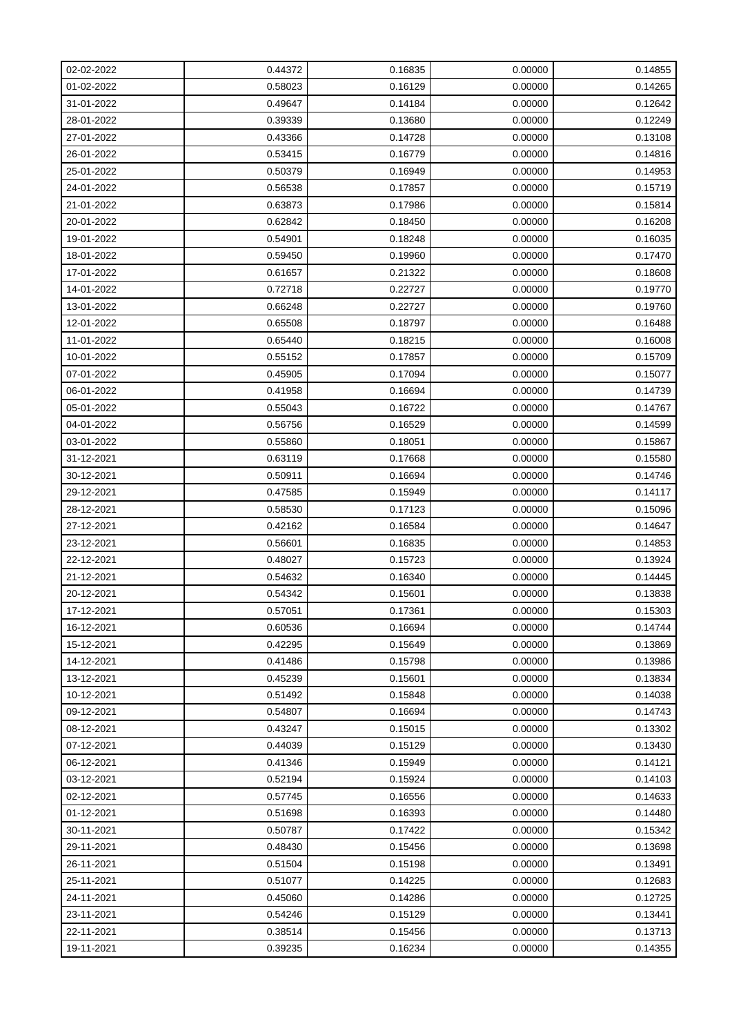| 02-02-2022 | 0.44372 | 0.16835 | 0.00000 | 0.14855 |
|------------|---------|---------|---------|---------|
| 01-02-2022 | 0.58023 | 0.16129 | 0.00000 | 0.14265 |
| 31-01-2022 | 0.49647 | 0.14184 | 0.00000 | 0.12642 |
| 28-01-2022 | 0.39339 | 0.13680 | 0.00000 | 0.12249 |
| 27-01-2022 | 0.43366 | 0.14728 | 0.00000 | 0.13108 |
| 26-01-2022 | 0.53415 | 0.16779 | 0.00000 | 0.14816 |
| 25-01-2022 | 0.50379 | 0.16949 | 0.00000 | 0.14953 |
| 24-01-2022 | 0.56538 | 0.17857 | 0.00000 | 0.15719 |
| 21-01-2022 | 0.63873 | 0.17986 | 0.00000 | 0.15814 |
| 20-01-2022 | 0.62842 | 0.18450 | 0.00000 | 0.16208 |
| 19-01-2022 | 0.54901 | 0.18248 | 0.00000 | 0.16035 |
| 18-01-2022 | 0.59450 | 0.19960 | 0.00000 | 0.17470 |
| 17-01-2022 | 0.61657 | 0.21322 | 0.00000 | 0.18608 |
| 14-01-2022 | 0.72718 | 0.22727 | 0.00000 | 0.19770 |
| 13-01-2022 | 0.66248 | 0.22727 | 0.00000 | 0.19760 |
| 12-01-2022 | 0.65508 | 0.18797 | 0.00000 | 0.16488 |
| 11-01-2022 | 0.65440 | 0.18215 | 0.00000 | 0.16008 |
| 10-01-2022 | 0.55152 | 0.17857 | 0.00000 | 0.15709 |
| 07-01-2022 | 0.45905 | 0.17094 | 0.00000 | 0.15077 |
| 06-01-2022 | 0.41958 | 0.16694 | 0.00000 | 0.14739 |
| 05-01-2022 | 0.55043 | 0.16722 | 0.00000 | 0.14767 |
| 04-01-2022 | 0.56756 | 0.16529 | 0.00000 | 0.14599 |
| 03-01-2022 | 0.55860 | 0.18051 | 0.00000 | 0.15867 |
| 31-12-2021 | 0.63119 | 0.17668 | 0.00000 | 0.15580 |
| 30-12-2021 | 0.50911 | 0.16694 | 0.00000 | 0.14746 |
| 29-12-2021 | 0.47585 | 0.15949 | 0.00000 | 0.14117 |
| 28-12-2021 | 0.58530 | 0.17123 | 0.00000 | 0.15096 |
| 27-12-2021 | 0.42162 | 0.16584 | 0.00000 | 0.14647 |
| 23-12-2021 | 0.56601 | 0.16835 | 0.00000 | 0.14853 |
| 22-12-2021 | 0.48027 | 0.15723 | 0.00000 | 0.13924 |
| 21-12-2021 | 0.54632 | 0.16340 | 0.00000 | 0.14445 |
| 20-12-2021 | 0.54342 | 0.15601 | 0.00000 | 0.13838 |
| 17-12-2021 | 0.57051 | 0.17361 | 0.00000 | 0.15303 |
| 16-12-2021 | 0.60536 | 0.16694 | 0.00000 | 0.14744 |
| 15-12-2021 | 0.42295 | 0.15649 | 0.00000 | 0.13869 |
| 14-12-2021 | 0.41486 | 0.15798 | 0.00000 | 0.13986 |
| 13-12-2021 | 0.45239 | 0.15601 | 0.00000 | 0.13834 |
| 10-12-2021 | 0.51492 | 0.15848 | 0.00000 | 0.14038 |
| 09-12-2021 | 0.54807 | 0.16694 | 0.00000 | 0.14743 |
| 08-12-2021 | 0.43247 | 0.15015 | 0.00000 | 0.13302 |
| 07-12-2021 | 0.44039 | 0.15129 | 0.00000 | 0.13430 |
| 06-12-2021 | 0.41346 | 0.15949 | 0.00000 | 0.14121 |
| 03-12-2021 | 0.52194 | 0.15924 | 0.00000 | 0.14103 |
| 02-12-2021 | 0.57745 | 0.16556 | 0.00000 | 0.14633 |
| 01-12-2021 | 0.51698 | 0.16393 | 0.00000 | 0.14480 |
| 30-11-2021 | 0.50787 | 0.17422 | 0.00000 | 0.15342 |
| 29-11-2021 | 0.48430 | 0.15456 | 0.00000 | 0.13698 |
| 26-11-2021 | 0.51504 | 0.15198 | 0.00000 | 0.13491 |
| 25-11-2021 | 0.51077 | 0.14225 | 0.00000 | 0.12683 |
| 24-11-2021 | 0.45060 | 0.14286 | 0.00000 | 0.12725 |
| 23-11-2021 | 0.54246 | 0.15129 | 0.00000 | 0.13441 |
| 22-11-2021 | 0.38514 | 0.15456 | 0.00000 | 0.13713 |
| 19-11-2021 | 0.39235 | 0.16234 | 0.00000 | 0.14355 |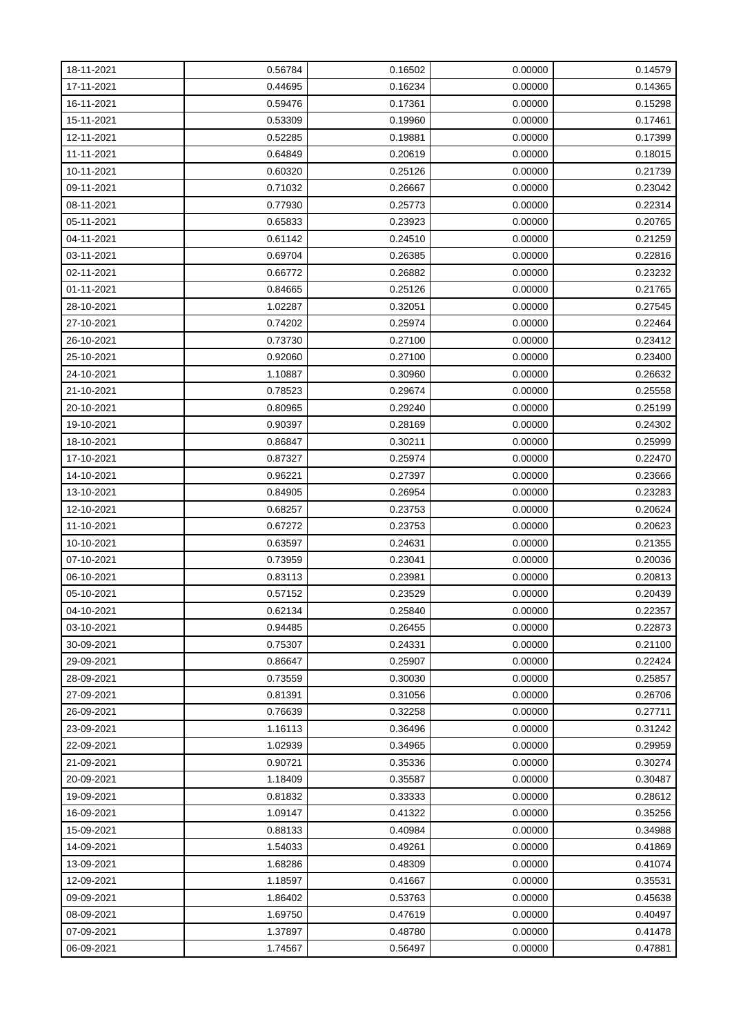| 18-11-2021 | 0.56784 | 0.16502 | 0.00000 | 0.14579 |
|------------|---------|---------|---------|---------|
| 17-11-2021 | 0.44695 | 0.16234 | 0.00000 | 0.14365 |
| 16-11-2021 | 0.59476 | 0.17361 | 0.00000 | 0.15298 |
| 15-11-2021 | 0.53309 | 0.19960 | 0.00000 | 0.17461 |
| 12-11-2021 | 0.52285 | 0.19881 | 0.00000 | 0.17399 |
| 11-11-2021 | 0.64849 | 0.20619 | 0.00000 | 0.18015 |
| 10-11-2021 | 0.60320 | 0.25126 | 0.00000 | 0.21739 |
| 09-11-2021 | 0.71032 | 0.26667 | 0.00000 | 0.23042 |
| 08-11-2021 | 0.77930 | 0.25773 | 0.00000 | 0.22314 |
| 05-11-2021 | 0.65833 | 0.23923 | 0.00000 | 0.20765 |
| 04-11-2021 | 0.61142 | 0.24510 | 0.00000 | 0.21259 |
| 03-11-2021 | 0.69704 | 0.26385 | 0.00000 | 0.22816 |
| 02-11-2021 | 0.66772 | 0.26882 | 0.00000 | 0.23232 |
| 01-11-2021 | 0.84665 | 0.25126 | 0.00000 | 0.21765 |
| 28-10-2021 | 1.02287 | 0.32051 | 0.00000 | 0.27545 |
| 27-10-2021 | 0.74202 | 0.25974 | 0.00000 | 0.22464 |
| 26-10-2021 | 0.73730 | 0.27100 | 0.00000 | 0.23412 |
| 25-10-2021 | 0.92060 | 0.27100 | 0.00000 | 0.23400 |
| 24-10-2021 | 1.10887 | 0.30960 | 0.00000 | 0.26632 |
| 21-10-2021 | 0.78523 | 0.29674 | 0.00000 | 0.25558 |
| 20-10-2021 | 0.80965 | 0.29240 | 0.00000 | 0.25199 |
| 19-10-2021 | 0.90397 | 0.28169 | 0.00000 | 0.24302 |
| 18-10-2021 | 0.86847 | 0.30211 | 0.00000 | 0.25999 |
| 17-10-2021 | 0.87327 | 0.25974 | 0.00000 | 0.22470 |
| 14-10-2021 | 0.96221 | 0.27397 | 0.00000 | 0.23666 |
| 13-10-2021 | 0.84905 | 0.26954 | 0.00000 | 0.23283 |
| 12-10-2021 | 0.68257 | 0.23753 | 0.00000 | 0.20624 |
| 11-10-2021 | 0.67272 | 0.23753 | 0.00000 | 0.20623 |
| 10-10-2021 | 0.63597 | 0.24631 | 0.00000 | 0.21355 |
| 07-10-2021 | 0.73959 | 0.23041 | 0.00000 | 0.20036 |
| 06-10-2021 | 0.83113 | 0.23981 | 0.00000 | 0.20813 |
| 05-10-2021 | 0.57152 | 0.23529 | 0.00000 | 0.20439 |
| 04-10-2021 | 0.62134 | 0.25840 | 0.00000 | 0.22357 |
| 03-10-2021 | 0.94485 | 0.26455 | 0.00000 | 0.22873 |
| 30-09-2021 | 0.75307 | 0.24331 | 0.00000 | 0.21100 |
| 29-09-2021 | 0.86647 | 0.25907 | 0.00000 | 0.22424 |
| 28-09-2021 | 0.73559 | 0.30030 | 0.00000 | 0.25857 |
| 27-09-2021 | 0.81391 | 0.31056 | 0.00000 | 0.26706 |
| 26-09-2021 | 0.76639 | 0.32258 | 0.00000 | 0.27711 |
| 23-09-2021 | 1.16113 | 0.36496 | 0.00000 | 0.31242 |
| 22-09-2021 | 1.02939 | 0.34965 | 0.00000 | 0.29959 |
| 21-09-2021 | 0.90721 | 0.35336 | 0.00000 | 0.30274 |
| 20-09-2021 | 1.18409 | 0.35587 | 0.00000 | 0.30487 |
| 19-09-2021 | 0.81832 | 0.33333 | 0.00000 | 0.28612 |
| 16-09-2021 | 1.09147 | 0.41322 | 0.00000 | 0.35256 |
| 15-09-2021 | 0.88133 | 0.40984 | 0.00000 | 0.34988 |
| 14-09-2021 | 1.54033 | 0.49261 | 0.00000 | 0.41869 |
| 13-09-2021 | 1.68286 | 0.48309 | 0.00000 | 0.41074 |
| 12-09-2021 | 1.18597 | 0.41667 | 0.00000 | 0.35531 |
| 09-09-2021 | 1.86402 | 0.53763 | 0.00000 | 0.45638 |
| 08-09-2021 | 1.69750 | 0.47619 | 0.00000 | 0.40497 |
| 07-09-2021 | 1.37897 | 0.48780 | 0.00000 | 0.41478 |
| 06-09-2021 | 1.74567 | 0.56497 | 0.00000 | 0.47881 |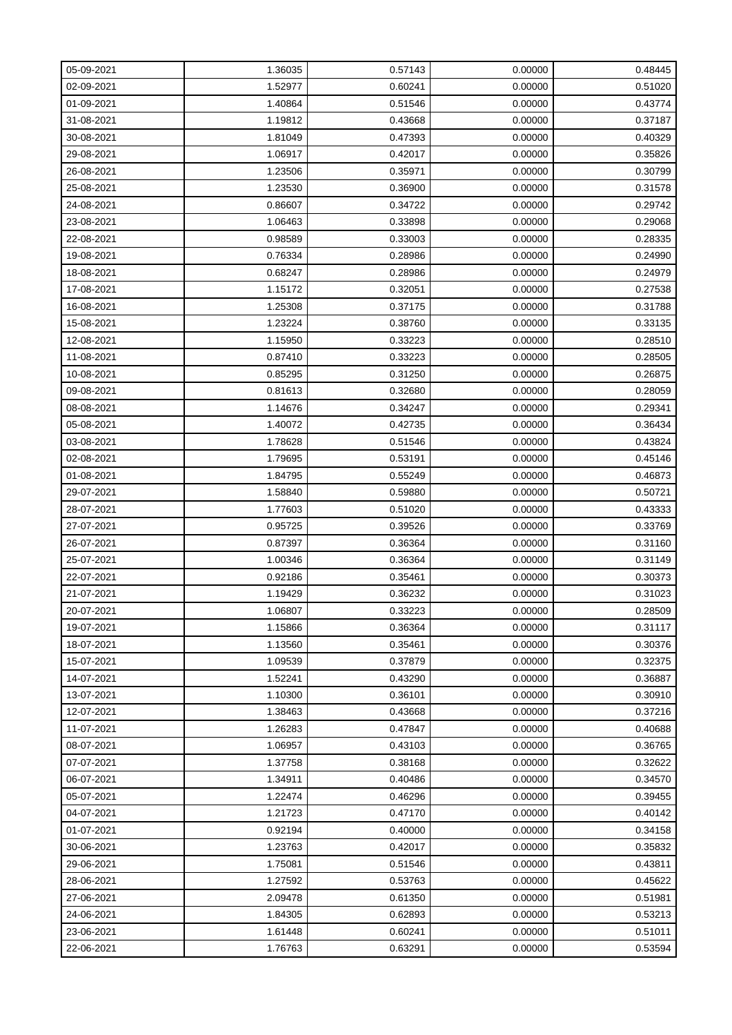| 05-09-2021 | 1.36035 | 0.57143 | 0.00000 | 0.48445 |
|------------|---------|---------|---------|---------|
| 02-09-2021 | 1.52977 | 0.60241 | 0.00000 | 0.51020 |
| 01-09-2021 | 1.40864 | 0.51546 | 0.00000 | 0.43774 |
| 31-08-2021 | 1.19812 | 0.43668 | 0.00000 | 0.37187 |
| 30-08-2021 | 1.81049 | 0.47393 | 0.00000 | 0.40329 |
| 29-08-2021 | 1.06917 | 0.42017 | 0.00000 | 0.35826 |
| 26-08-2021 | 1.23506 | 0.35971 | 0.00000 | 0.30799 |
| 25-08-2021 | 1.23530 | 0.36900 | 0.00000 | 0.31578 |
| 24-08-2021 | 0.86607 | 0.34722 | 0.00000 | 0.29742 |
| 23-08-2021 | 1.06463 | 0.33898 | 0.00000 | 0.29068 |
| 22-08-2021 | 0.98589 | 0.33003 | 0.00000 | 0.28335 |
| 19-08-2021 | 0.76334 | 0.28986 | 0.00000 | 0.24990 |
| 18-08-2021 | 0.68247 | 0.28986 | 0.00000 | 0.24979 |
| 17-08-2021 | 1.15172 | 0.32051 | 0.00000 | 0.27538 |
| 16-08-2021 | 1.25308 | 0.37175 | 0.00000 | 0.31788 |
| 15-08-2021 | 1.23224 | 0.38760 | 0.00000 | 0.33135 |
| 12-08-2021 | 1.15950 | 0.33223 | 0.00000 | 0.28510 |
| 11-08-2021 | 0.87410 | 0.33223 | 0.00000 | 0.28505 |
| 10-08-2021 | 0.85295 | 0.31250 | 0.00000 | 0.26875 |
| 09-08-2021 | 0.81613 | 0.32680 | 0.00000 | 0.28059 |
| 08-08-2021 | 1.14676 | 0.34247 | 0.00000 | 0.29341 |
| 05-08-2021 | 1.40072 | 0.42735 | 0.00000 | 0.36434 |
| 03-08-2021 | 1.78628 | 0.51546 | 0.00000 | 0.43824 |
| 02-08-2021 | 1.79695 | 0.53191 | 0.00000 | 0.45146 |
| 01-08-2021 | 1.84795 | 0.55249 | 0.00000 | 0.46873 |
| 29-07-2021 | 1.58840 | 0.59880 | 0.00000 | 0.50721 |
| 28-07-2021 | 1.77603 | 0.51020 | 0.00000 | 0.43333 |
| 27-07-2021 | 0.95725 | 0.39526 | 0.00000 | 0.33769 |
| 26-07-2021 | 0.87397 | 0.36364 | 0.00000 | 0.31160 |
| 25-07-2021 | 1.00346 | 0.36364 | 0.00000 | 0.31149 |
| 22-07-2021 | 0.92186 | 0.35461 | 0.00000 | 0.30373 |
| 21-07-2021 | 1.19429 | 0.36232 | 0.00000 | 0.31023 |
| 20-07-2021 | 1.06807 | 0.33223 | 0.00000 | 0.28509 |
| 19-07-2021 | 1.15866 | 0.36364 | 0.00000 | 0.31117 |
| 18-07-2021 | 1.13560 | 0.35461 | 0.00000 | 0.30376 |
| 15-07-2021 | 1.09539 | 0.37879 | 0.00000 | 0.32375 |
| 14-07-2021 | 1.52241 | 0.43290 | 0.00000 | 0.36887 |
| 13-07-2021 | 1.10300 | 0.36101 | 0.00000 | 0.30910 |
| 12-07-2021 | 1.38463 | 0.43668 | 0.00000 | 0.37216 |
| 11-07-2021 | 1.26283 | 0.47847 | 0.00000 | 0.40688 |
| 08-07-2021 | 1.06957 | 0.43103 | 0.00000 | 0.36765 |
| 07-07-2021 | 1.37758 | 0.38168 | 0.00000 | 0.32622 |
| 06-07-2021 | 1.34911 | 0.40486 | 0.00000 | 0.34570 |
| 05-07-2021 | 1.22474 | 0.46296 | 0.00000 | 0.39455 |
| 04-07-2021 | 1.21723 | 0.47170 | 0.00000 | 0.40142 |
| 01-07-2021 | 0.92194 | 0.40000 | 0.00000 | 0.34158 |
| 30-06-2021 | 1.23763 | 0.42017 | 0.00000 | 0.35832 |
| 29-06-2021 | 1.75081 | 0.51546 | 0.00000 | 0.43811 |
| 28-06-2021 | 1.27592 | 0.53763 | 0.00000 | 0.45622 |
| 27-06-2021 | 2.09478 | 0.61350 | 0.00000 | 0.51981 |
| 24-06-2021 | 1.84305 | 0.62893 | 0.00000 | 0.53213 |
| 23-06-2021 | 1.61448 | 0.60241 | 0.00000 | 0.51011 |
| 22-06-2021 | 1.76763 | 0.63291 | 0.00000 | 0.53594 |